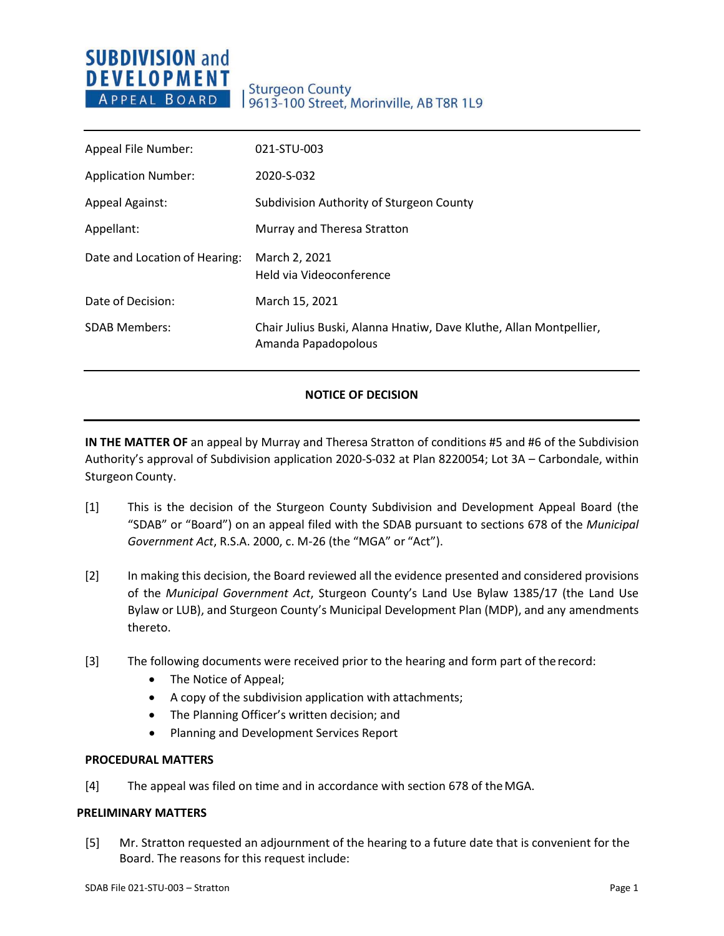## **SUBDIVISION and DEVELOPMENT** APPEAL BOARD

### **Sturgeon County** 9613-100 Street, Morinville, AB T8R 1L9

| Appeal File Number:           | 021-STU-003                                                                               |
|-------------------------------|-------------------------------------------------------------------------------------------|
| <b>Application Number:</b>    | 2020-S-032                                                                                |
| <b>Appeal Against:</b>        | Subdivision Authority of Sturgeon County                                                  |
| Appellant:                    | Murray and Theresa Stratton                                                               |
| Date and Location of Hearing: | March 2, 2021<br>Held via Videoconference                                                 |
| Date of Decision:             | March 15, 2021                                                                            |
| <b>SDAB Members:</b>          | Chair Julius Buski, Alanna Hnatiw, Dave Kluthe, Allan Montpellier,<br>Amanda Papadopolous |

#### **NOTICE OF DECISION**

**IN THE MATTER OF** an appeal by Murray and Theresa Stratton of conditions #5 and #6 of the Subdivision Authority's approval of Subdivision application 2020-S-032 at Plan 8220054; Lot 3A – Carbondale, within Sturgeon County.

- [1] This is the decision of the Sturgeon County Subdivision and Development Appeal Board (the "SDAB" or "Board") on an appeal filed with the SDAB pursuant to sections 678 of the *Municipal Government Act*, R.S.A. 2000, c. M-26 (the "MGA" or "Act").
- [2] In making this decision, the Board reviewed all the evidence presented and considered provisions of the *Municipal Government Act*, Sturgeon County's Land Use Bylaw 1385/17 (the Land Use Bylaw or LUB), and Sturgeon County's Municipal Development Plan (MDP), and any amendments thereto.
- [3] The following documents were received prior to the hearing and form part of therecord:
	- The Notice of Appeal;
	- A copy of the subdivision application with attachments;
	- The Planning Officer's written decision; and
	- Planning and Development Services Report

#### **PROCEDURAL MATTERS**

[4] The appeal was filed on time and in accordance with section 678 of theMGA.

#### **PRELIMINARY MATTERS**

[5] Mr. Stratton requested an adjournment of the hearing to a future date that is convenient for the Board. The reasons for this request include: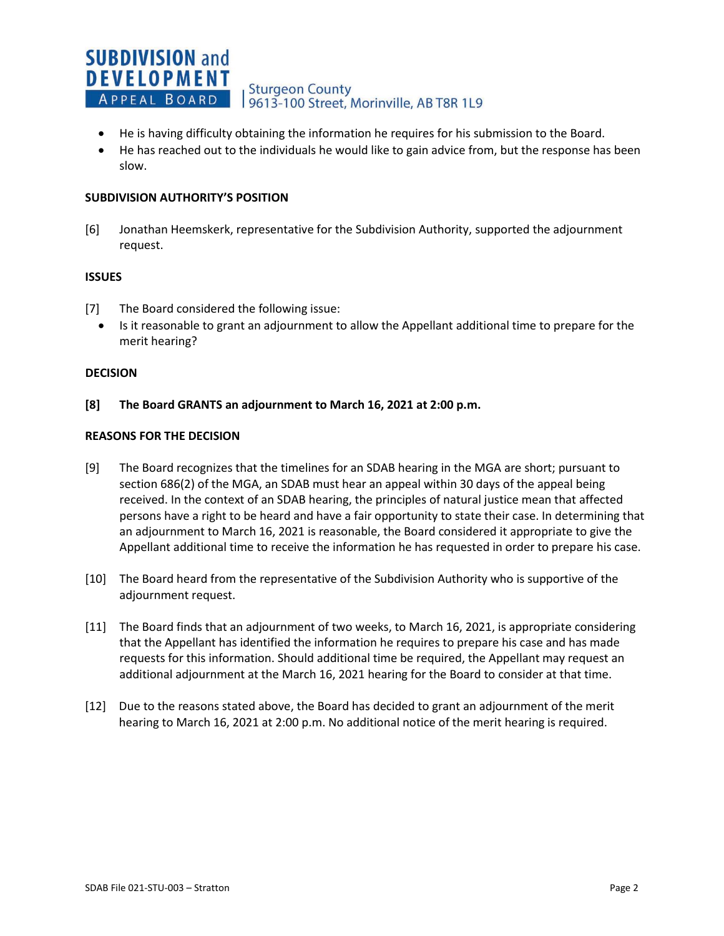#### **SUBDIVISION and DEVELOPMENT Sturgeon County** APPEAL BOARD 19613-100 Street, Morinville, AB T8R 1L9

- He is having difficulty obtaining the information he requires for his submission to the Board.
- He has reached out to the individuals he would like to gain advice from, but the response has been slow.

#### **SUBDIVISION AUTHORITY'S POSITION**

[6] Jonathan Heemskerk, representative for the Subdivision Authority, supported the adjournment request.

#### **ISSUES**

- [7] The Board considered the following issue:
- Is it reasonable to grant an adjournment to allow the Appellant additional time to prepare for the merit hearing?

#### **DECISION**

**[8] The Board GRANTS an adjournment to March 16, 2021 at 2:00 p.m.** 

#### **REASONS FOR THE DECISION**

- [9] The Board recognizes that the timelines for an SDAB hearing in the MGA are short; pursuant to section 686(2) of the MGA, an SDAB must hear an appeal within 30 days of the appeal being received. In the context of an SDAB hearing, the principles of natural justice mean that affected persons have a right to be heard and have a fair opportunity to state their case. In determining that an adjournment to March 16, 2021 is reasonable, the Board considered it appropriate to give the Appellant additional time to receive the information he has requested in order to prepare his case.
- [10] The Board heard from the representative of the Subdivision Authority who is supportive of the adjournment request.
- [11] The Board finds that an adjournment of two weeks, to March 16, 2021, is appropriate considering that the Appellant has identified the information he requires to prepare his case and has made requests for this information. Should additional time be required, the Appellant may request an additional adjournment at the March 16, 2021 hearing for the Board to consider at that time.
- [12] Due to the reasons stated above, the Board has decided to grant an adjournment of the merit hearing to March 16, 2021 at 2:00 p.m. No additional notice of the merit hearing is required.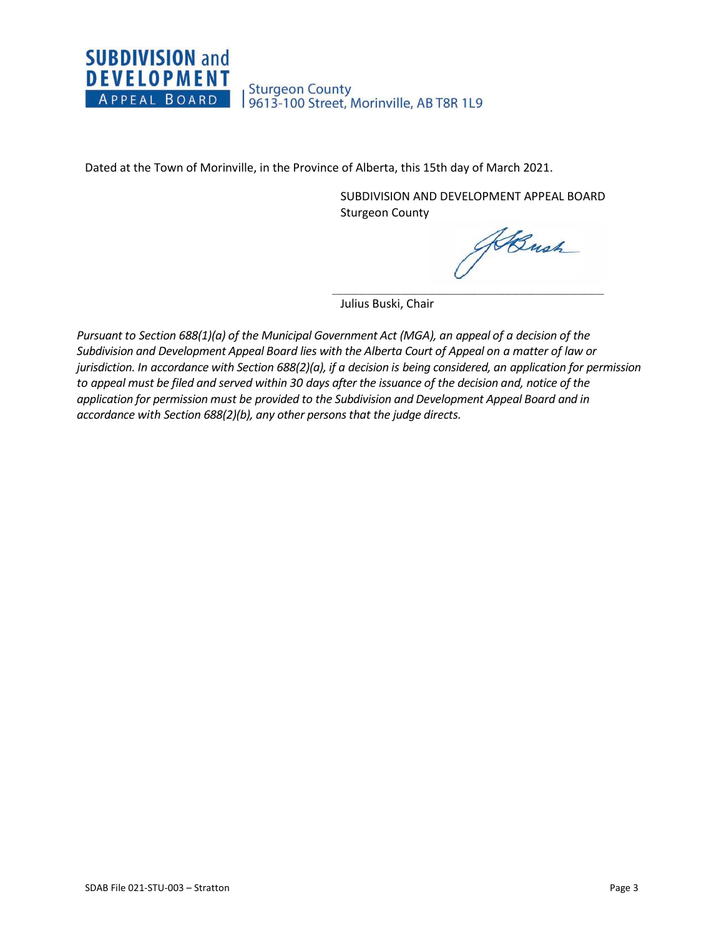

Dated at the Town of Morinville, in the Province of Alberta, this 15th day of March 2021.

SUBDIVISION AND DEVELOPMENT APPEAL BOARD Sturgeon County

\_\_\_\_\_\_\_\_\_\_\_\_\_\_\_\_\_\_\_\_\_\_\_\_\_\_\_\_\_\_\_\_\_\_\_\_\_\_\_\_\_\_\_\_\_\_\_\_\_\_\_\_\_\_\_\_\_\_\_\_\_\_\_\_\_\_\_\_\_\_\_

KBush

Julius Buski, Chair

*Pursuant to Section 688(1)(a) of the Municipal Government Act (MGA), an appeal of a decision of the Subdivision and Development Appeal Board lies with the Alberta Court of Appeal on a matter of law or jurisdiction. In accordance with Section 688(2)(a), if a decision is being considered, an application for permission to appeal must be filed and served within 30 days after the issuance of the decision and, notice of the application for permission must be provided to the Subdivision and Development Appeal Board and in accordance with Section 688(2)(b), any other persons that the judge directs.*